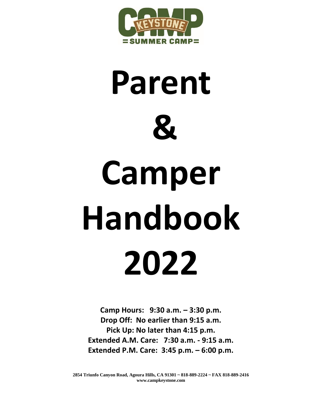

# **Parent & Camper Handbook 2022**

**Camp Hours: 9:30 a.m. – 3:30 p.m. Drop Off: No earlier than 9:15 a.m. Pick Up: No later than 4:15 p.m. Extended A.M. Care: 7:30 a.m. - 9:15 a.m. Extended P.M. Care: 3:45 p.m. – 6:00 p.m.**

**2854 Triunfo Canyon Road, Agoura Hills, CA 91301 ~ 818-889-2224 ~ FAX 818-889-2416 www.campkeystone.com**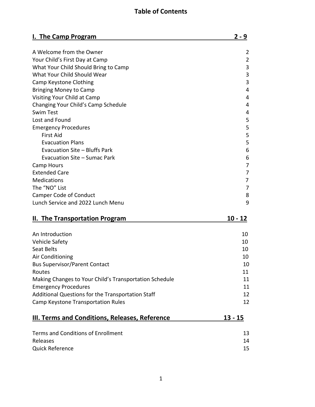# **Table of Contents**

| I. The Camp Program                                    | $2 - 9$   |
|--------------------------------------------------------|-----------|
| A Welcome from the Owner                               | 2         |
| Your Child's First Day at Camp                         | 2         |
| What Your Child Should Bring to Camp                   | 3         |
| What Your Child Should Wear                            | 3         |
| Camp Keystone Clothing                                 | 3         |
| <b>Bringing Money to Camp</b>                          | 4         |
| Visiting Your Child at Camp                            | 4         |
| Changing Your Child's Camp Schedule                    | 4         |
| <b>Swim Test</b>                                       | 4         |
| Lost and Found                                         | 5         |
| <b>Emergency Procedures</b>                            | 5         |
| <b>First Aid</b>                                       | 5         |
| <b>Evacuation Plans</b>                                | 5         |
| Evacuation Site - Bluffs Park                          | 6         |
| Evacuation Site - Sumac Park                           | 6         |
| Camp Hours                                             | 7         |
| <b>Extended Care</b>                                   | 7         |
| Medications                                            | 7         |
| The "NO" List                                          | 7         |
| <b>Camper Code of Conduct</b>                          | 8         |
| Lunch Service and 2022 Lunch Menu                      | 9         |
|                                                        |           |
| II. The Transportation Program                         | 10 - 12   |
| An Introduction                                        | 10        |
| Vehicle Safety                                         | 10        |
| Seat Belts                                             | 10        |
| Air Conditioning                                       | 10        |
| <b>Bus Supervisor/Parent Contact</b>                   | 10        |
| Routes                                                 | 11        |
| Making Changes to Your Child's Transportation Schedule | 11        |
| <b>Emergency Procedures</b>                            | 11        |
| Additional Questions for the Transportation Staff      | 12        |
| Camp Keystone Transportation Rules                     | 12        |
|                                                        |           |
| <b>III. Terms and Conditions, Releases, Reference</b>  | $13 - 15$ |
| <b>Terms and Conditions of Enrollment</b>              | 13        |
| Releases                                               | 14        |
| <b>Quick Reference</b>                                 | 15        |
|                                                        |           |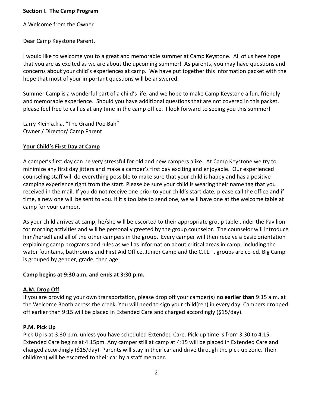#### **Section I. The Camp Program**

A Welcome from the Owner

Dear Camp Keystone Parent,

I would like to welcome you to a great and memorable summer at Camp Keystone. All of us here hope that you are as excited as we are about the upcoming summer! As parents, you may have questions and concerns about your child's experiences at camp. We have put together this information packet with the hope that most of your important questions will be answered.

Summer Camp is a wonderful part of a child's life, and we hope to make Camp Keystone a fun, friendly and memorable experience. Should you have additional questions that are not covered in this packet, please feel free to call us at any time in the camp office. I look forward to seeing you this summer!

Larry Klein a.k.a. "The Grand Poo Bah" Owner / Director/ Camp Parent

## **Your Child's First Day at Camp**

A camper's first day can be very stressful for old and new campers alike. At Camp Keystone we try to minimize any first day jitters and make a camper's first day exciting and enjoyable. Our experienced counseling staff will do everything possible to make sure that your child is happy and has a positive camping experience right from the start. Please be sure your child is wearing their name tag that you received in the mail. If you do not receive one prior to your child's start date, please call the office and if time, a new one will be sent to you. If it's too late to send one, we will have one at the welcome table at camp for your camper.

As your child arrives at camp, he/she will be escorted to their appropriate group table under the Pavilion for morning activities and will be personally greeted by the group counselor. The counselor will introduce him/herself and all of the other campers in the group. Every camper will then receive a basic orientation explaining camp programs and rules as well as information about critical areas in camp, including the water fountains, bathrooms and First Aid Office. Junior Camp and the C.I.L.T. groups are co-ed. Big Camp is grouped by gender, grade, then age.

## **Camp begins at 9:30 a.m. and ends at 3:30 p.m.**

## **A.M. Drop Off**

If you are providing your own transportation, please drop off your camper(s) **no earlier than** 9:15 a.m. at the Welcome Booth across the creek. You will need to sign your child(ren) in every day. Campers dropped off earlier than 9:15 will be placed in Extended Care and charged accordingly (\$15/day).

## **P.M. Pick Up**

Pick Up is at 3:30 p.m. unless you have scheduled Extended Care. Pick-up time is from 3:30 to 4:15. Extended Care begins at 4:15pm. Any camper still at camp at 4:15 will be placed in Extended Care and charged accordingly (\$15/day). Parents will stay in their car and drive through the pick-up zone. Their child(ren) will be escorted to their car by a staff member.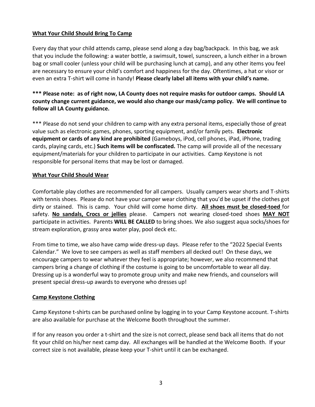## **What Your Child Should Bring To Camp**

Every day that your child attends camp, please send along a day bag/backpack. In this bag, we ask that you include the following: a water bottle, a swimsuit, towel, sunscreen, a lunch either in a brown bag or small cooler (unless your child will be purchasing lunch at camp), and any other items you feel are necessary to ensure your child's comfort and happiness for the day. Oftentimes, a hat or visor or even an extra T-shirt will come in handy! **Please clearly label all items with your child's name.**

## **\*\*\* Please note: as of right now, LA County does not require masks for outdoor camps. Should LA county change current guidance, we would also change our mask/camp policy. We will continue to follow all LA County guidance.**

\*\*\* Please do not send your children to camp with any extra personal items, especially those of great value such as electronic games, phones, sporting equipment, and/or family pets. **Electronic equipment or cards of any kind are prohibited** (Gameboys, iPod, cell phones, iPad, iPhone, trading cards, playing cards, etc.) **Such items will be confiscated.** The camp will provide all of the necessary equipment/materials for your children to participate in our activities. Camp Keystone is not responsible for personal items that may be lost or damaged.

#### **What Your Child Should Wear**

Comfortable play clothes are recommended for all campers. Usually campers wear shorts and T-shirts with tennis shoes. Please do not have your camper wear clothing that you'd be upset if the clothes got dirty or stained. This is camp. Your child will come home dirty. **All shoes must be closed-toed** for safety. **No sandals, Crocs or jellies** please. Campers not wearing closed-toed shoes **MAY NOT** participate in activities. Parents **WILL BE CALLED** to bring shoes. We also suggest aqua socks/shoes for stream exploration, grassy area water play, pool deck etc.

From time to time, we also have camp wide dress-up days. Please refer to the "2022 Special Events Calendar." We love to see campers as well as staff members all decked out! On these days, we encourage campers to wear whatever they feel is appropriate; however, we also recommend that campers bring a change of clothing if the costume is going to be uncomfortable to wear all day. Dressing up is a wonderful way to promote group unity and make new friends, and counselors will present special dress-up awards to everyone who dresses up!

#### **Camp Keystone Clothing**

Camp Keystone t-shirts can be purchased online by logging in to your Camp Keystone account. T-shirts are also available for purchase at the Welcome Booth throughout the summer.

If for any reason you order a t-shirt and the size is not correct, please send back all items that do not fit your child on his/her next camp day. All exchanges will be handled at the Welcome Booth. If your correct size is not available, please keep your T-shirt until it can be exchanged.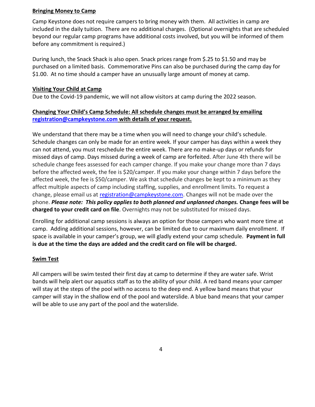#### **Bringing Money to Camp**

Camp Keystone does not require campers to bring money with them. All activities in camp are included in the daily tuition. There are no additional charges. (Optional overnights that are scheduled beyond our regular camp programs have additional costs involved, but you will be informed of them before any commitment is required.)

During lunch, the Snack Shack is also open. Snack prices range from \$.25 to \$1.50 and may be purchased on a limited basis. Commemorative Pins can also be purchased during the camp day for \$1.00. At no time should a camper have an unusually large amount of money at camp.

#### **Visiting Your Child at Camp**

Due to the Covid-19 pandemic, we will not allow visitors at camp during the 2022 season.

## **Changing Your Child's Camp Schedule: All schedule changes must be arranged by emailing [registration@campkeystone.com](mailto:registration@campkeystone.com) with details of your request.**

We understand that there may be a time when you will need to change your child's schedule. Schedule changes can only be made for an entire week. If your camper has days within a week they can not attend, you must reschedule the entire week. There are no make-up days or refunds for missed days of camp. Days missed during a week of camp are forfeited. After June 4th there will be schedule change fees assessed for each camper change. If you make your change more than 7 days before the affected week, the fee is \$20/camper. If you make your change within 7 days before the affected week, the fee is \$50/camper. We ask that schedule changes be kept to a minimum as they affect multiple aspects of camp including staffing, supplies, and enrollment limits. To request a change, please email us at [registration@campkeystone.com.](mailto:registration@campkeystone.com) Changes will not be made over the phone. *Please note: This policy applies to both planned and unplanned changes.* **Change fees will be charged to your credit card on file**. Overnights may not be substituted for missed days.

Enrolling for additional camp sessions is always an option for those campers who want more time at camp. Adding additional sessions, however, can be limited due to our maximum daily enrollment. If space is available in your camper's group, we will gladly extend your camp schedule. **Payment in full is due at the time the days are added and the credit card on file will be charged.**

## **Swim Test**

All campers will be swim tested their first day at camp to determine if they are water safe. Wrist bands will help alert our aquatics staff as to the ability of your child. A red band means your camper will stay at the steps of the pool with no access to the deep end. A yellow band means that your camper will stay in the shallow end of the pool and waterslide. A blue band means that your camper will be able to use any part of the pool and the waterslide.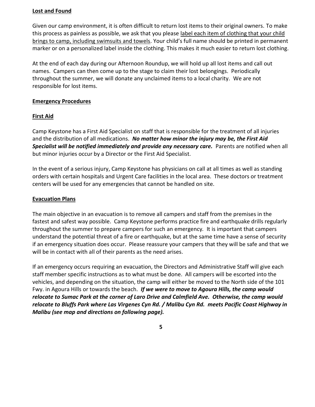#### **Lost and Found**

Given our camp environment, it is often difficult to return lost items to their original owners. To make this process as painless as possible, we ask that you please label each item of clothing that your child brings to camp, including swimsuits and towels. Your child's full name should be printed in permanent marker or on a personalized label inside the clothing. This makes it much easier to return lost clothing.

At the end of each day during our Afternoon Roundup, we will hold up all lost items and call out names. Campers can then come up to the stage to claim their lost belongings. Periodically throughout the summer, we will donate any unclaimed items to a local charity. We are not responsible for lost items.

#### **Emergency Procedures**

#### **First Aid**

Camp Keystone has a First Aid Specialist on staff that is responsible for the treatment of all injuries and the distribution of all medications. *No matter how minor the injury may be, the First Aid*  **Specialist will be notified immediately and provide any necessary care.** Parents are notified when all but minor injuries occur by a Director or the First Aid Specialist.

In the event of a serious injury, Camp Keystone has physicians on call at all times as well as standing orders with certain hospitals and Urgent Care facilities in the local area. These doctors or treatment centers will be used for any emergencies that cannot be handled on site.

#### **Evacuation Plans**

The main objective in an evacuation is to remove all campers and staff from the premises in the fastest and safest way possible. Camp Keystone performs practice fire and earthquake drills regularly throughout the summer to prepare campers for such an emergency*.* It is important that campers understand the potential threat of a fire or earthquake, but at the same time have a sense of security if an emergency situation does occur. Please reassure your campers that they will be safe and that we will be in contact with all of their parents as the need arises.

If an emergency occurs requiring an evacuation, the Directors and Administrative Staff will give each staff member specific instructions as to what must be done. All campers will be escorted into the vehicles, and depending on the situation, the camp will either be moved to the North side of the 101 Fwy. in Agoura Hills or towards the beach. *If we were to move to Agoura Hills, the camp would relocate to Sumac Park at the corner of Laro Drive and Calmfield Ave. Otherwise, the camp would relocate to Bluffs Park where Las Virgenes Cyn Rd. / Malibu Cyn Rd. meets Pacific Coast Highway in Malibu (see map and directions on following page).*

**5**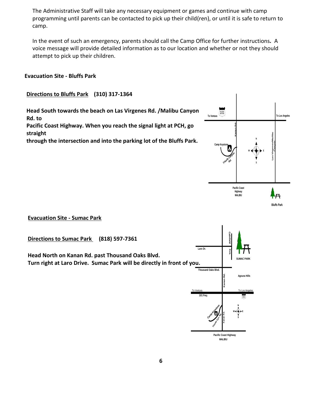The Administrative Staff will take any necessary equipment or games and continue with camp programming until parents can be contacted to pick up their child(ren), or until it is safe to return to camp.

In the event of such an emergency, parents should call the Camp Office for further instructions*.* A voice message will provide detailed information as to our location and whether or not they should attempt to pick up their children.

#### **Evacuation Site - Bluffs Park**

#### **Directions to Bluffs Park (310) 317-1364**

**Head South towards the beach on Las Virgenes Rd. /Malibu Canyon Rd. to Pacific Coast Highway. When you reach the signal light at PCH, go straight**

**through the intersection and into the parking lot of the Bluffs Park.**



**Ev Evacuation Site - Sumac Park**

**Directions to Sumac Park (818) 597-7361**

**Head North on Kanan Rd. past Thousand Oaks Blvd. Turn right at Laro Drive. Sumac Park will be directly in front of you.**

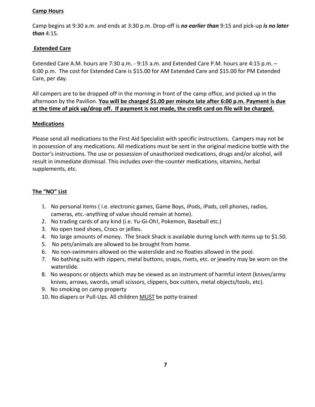## **Camp Hours**

Camp begins at 9:30 a.m. and ends at 3:30 p.m. Drop-off is *no earlier than* 9:15 and pick-up *is no later than* 4:15.

## **Extended Care**

Extended Care A.M. hours are 7:30 a.m. - 9:15 a.m. and Extended Care P.M. hours are 4:15 p.m. – 6:00 p.m. The cost for Extended Care is \$15.00 for AM Extended Care and \$15.00 for PM Extended Care, per day.

All campers are to be dropped off in the morning in front of the camp office, and picked up in the afternoon by the Pavilion. **You will be charged \$1.00 per minute late after 6:00 p.m. Payment is due at the time of pick up/drop off. If payment is not made, the credit card on file will be charged.**

#### **Medications**

Please send all medications to the First Aid Specialist with specific instructions. Campers may not be in possession of any medications. All medications must be sent in the original medicine bottle with the Doctor's instructions. The use or possession of unauthorized medications, drugs and/or alcohol, will result in immediate dismissal. This includes over-the-counter medications, vitamins, herbal supplements, etc.

## **The "NO" List**

- 1. No personal items ( i.e. electronic games, Game Boys, iPods, iPads, cell phones, radios, cameras, etc.-anything of value should remain at home).
- 2. No trading cards of any kind (i.e. Yu-Gi-Oh!, Pokemon, Baseball etc.)
- 3. No open toed shoes, Crocs or jellies.
- 4. No large amounts of money. The Snack Shack is available during lunch with items up to \$1.50.
- 5. No pets/animals are allowed to be brought from home.
- 6. No non-swimmers allowed on the waterslide and no floaties allowed in the pool.
- 7. No bathing suits with zippers, metal buttons, snaps, rivets, etc. or jewelry may be worn on the waterslide.
- 8. No weapons or objects which may be viewed as an instrument of harmful intent (knives/army knives, arrows, swords, small scissors, clippers, box cutters, metal objects/tools, etc).
- 9. No smoking on camp property
- 10. No diapers or Pull-Ups. All children MUST be potty-trained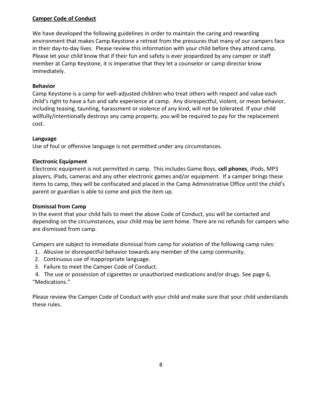## **Camper Code of Conduct**

We have developed the following guidelines in order to maintain the caring and rewarding environment that makes Camp Keystone a retreat from the pressures that many of our campers face in their day-to-day lives. Please review this information with your child before they attend camp. Please let your child know that if their fun and safety is ever jeopardized by any camper or staff member at Camp Keystone, it is imperative that they let a counselor or camp director know immediately.

#### **Behavior**

Camp Keystone is a camp for well-adjusted children who treat others with respect and value each child's right to have a fun and safe experience at camp. Any disrespectful, violent, or mean behavior, including teasing, taunting, harassment or violence of any kind, will not be tolerated. If your child willfully/intentionally destroys any camp property, you will be required to pay for the replacement cost.

#### **Language**

Use of foul or offensive language is not permitted under any circumstances.

#### **Electronic Equipment**

Electronic equipment is not permitted in camp. This includes Game Boys, **cell phones**, iPods, MP3 players, iPads, cameras and any other electronic games and/or equipment. If a camper brings these items to camp, they will be confiscated and placed in the Camp Administrative Office until the child's parent or guardian is able to come and pick the item up.

## **Dismissal from Camp**

In the event that your child fails to meet the above Code of Conduct, you will be contacted and depending on the circumstances, your child may be sent home. There are no refunds for campers who are dismissed from camp.

Campers are subject to immediate dismissal from camp for violation of the following camp rules:

- 1. Abusive or disrespectful behavior towards any member of the camp community.
- 2. Continuous use of inappropriate language.
- 3. Failure to meet the Camper Code of Conduct.

 4. The use or possession of cigarettes or unauthorized medications and/or drugs. See page 6, "Medications."

Please review the Camper Code of Conduct with your child and make sure that your child understands these rules.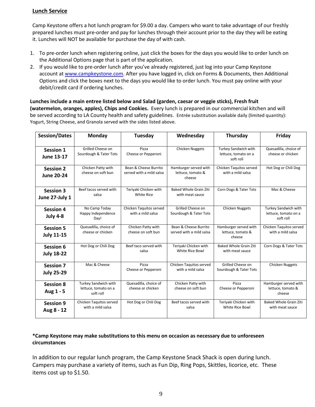#### **Lunch Service**

Camp Keystone offers a hot lunch program for \$9.00 a day. Campers who want to take advantage of our freshly prepared lunches must pre-order and pay for lunches through their account prior to the day they will be eating it. Lunches will NOT be available for purchase the day of with cash.

- 1. To pre-order lunch when registering online, just click the boxes for the days you would like to order lunch on the Additional Options page that is part of the application.
- 2. If you would like to pre-order lunch after you've already registered, just log into your Camp Keystone account at [www.campkeystone.com.](http://www.campkeystone.com/) After you have logged in, click on Forms & Documents, then Additional Options and click the boxes next to the days you would like to order lunch. You must pay online with your debit/credit card if ordering lunches.

**Lunches include a main entree listed below and Salad (garden, caesar or veggie sticks), Fresh fruit (watermelon, oranges, apples), Chips and Cookies.** Every lunch is prepared in our commercial kitchen and will be served according to LA County health and safety guidelines. Entrée substitution available daily (limited quantity): Yogurt, String Cheese, and Granola served with the sides listed above.

| <b>Session/Dates</b>                  | Monday                                                    | Tuesday                                           | Wednesday                                            | Thursday                                                  | Friday                                                    |
|---------------------------------------|-----------------------------------------------------------|---------------------------------------------------|------------------------------------------------------|-----------------------------------------------------------|-----------------------------------------------------------|
| <b>Session 1</b><br><b>June 13-17</b> | Grilled Cheese on<br>Sourdough & Tater Tots               | Pizza<br>Cheese or Pepperoni                      | <b>Chicken Nuggets</b>                               | Turkey Sandwich with<br>lettuce, tomato on a<br>soft roll | Quesadilla, choice of<br>cheese or chicken                |
| <b>Session 2</b><br><b>June 20-24</b> | Chicken Patty with<br>cheese on soft bun                  | Bean & Cheese Burrito<br>served with a mild salsa | Hamburger served with<br>lettuce, tomato &<br>cheese | Chicken Taquitos served<br>with a mild salsa              | Hot Dog or Chili Dog                                      |
| <b>Session 3</b><br>June 27-July 1    | Beef tacos served with<br>salsa                           | Teriyaki Chicken with<br><b>White Rice</b>        | <b>Baked Whole Grain Ziti</b><br>with meat sauce     | Corn Dogs & Tater Tots                                    | Mac & Cheese                                              |
| <b>Session 4</b><br><b>July 4-8</b>   | No Camp Today<br>Happy Independence<br>Day!               | Chicken Taquitos served<br>with a mild salsa      | Grilled Cheese on<br>Sourdough & Tater Tots          | <b>Chicken Nuggets</b>                                    | Turkey Sandwich with<br>lettuce, tomato on a<br>soft roll |
| <b>Session 5</b><br><b>July 11-15</b> | Quesadilla, choice of<br>cheese or chicken                | Chicken Patty with<br>cheese on soft bun          | Bean & Cheese Burrito<br>served with a mild salsa    | Hamburger served with<br>lettuce, tomato &<br>cheese      | Chicken Taquitos served<br>with a mild salsa              |
| <b>Session 6</b><br><b>July 18-22</b> | Hot Dog or Chili Dog                                      | Beef taco served with<br>salsa                    | Teriyaki Chicken with<br>White Rice Bowl             | Baked Whole Grain Ziti<br>with meat sauce                 | Corn Dogs & Tater Tots                                    |
| <b>Session 7</b><br><b>July 25-29</b> | Mac & Cheese                                              | Pizza<br>Cheese or Pepperoni                      | Chicken Taquitos served<br>with a mild salsa         | Grilled Cheese on<br>Sourdough & Tater Tots               | <b>Chicken Nuggets</b>                                    |
| <b>Session 8</b><br>Aug 1 - 5         | Turkey Sandwich with<br>lettuce, tomato on a<br>soft roll | Quesadilla, choice of<br>cheese or chicken        | Chicken Patty with<br>cheese on soft bun             | Pizza<br>Cheese or Pepperoni                              | Hamburger served with<br>lettuce, tomato &<br>cheese      |
| <b>Session 9</b><br>Aug 8 - 12        | Chicken Taquitos served<br>with a mild salsa              | Hot Dog or Chili Dog                              | Beef tacos served with<br>salsa                      | Teriyaki Chicken with<br>White Rice Bowl                  | <b>Baked Whole Grain Ziti</b><br>with meat sauce          |

#### **\*Camp Keystone may make substitutions to this menu on occasion as necessary due to unforeseen circumstances**

In addition to our regular lunch program, the Camp Keystone Snack Shack is open during lunch. Campers may purchase a variety of items, such as Fun Dip, Ring Pops, Skittles, licorice, etc. These items cost up to \$1.50.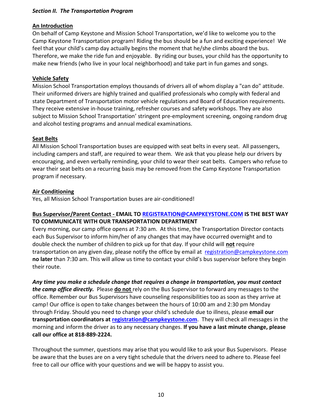#### *Section II. The Transportation Program*

#### **An Introduction**

On behalf of Camp Keystone and Mission School Transportation, we'd like to welcome you to the Camp Keystone Transportation program! Riding the bus should be a fun and exciting experience! We feel that your child's camp day actually begins the moment that he/she climbs aboard the bus. Therefore, we make the ride fun and enjoyable. By riding our buses, your child has the opportunity to make new friends (who live in your local neighborhood) and take part in fun games and songs.

#### **Vehicle Safety**

Mission School Transportation employs thousands of drivers all of whom display a "can do" attitude. Their uniformed drivers are highly trained and qualified professionals who comply with federal and state Department of Transportation motor vehicle regulations and Board of Education requirements. They receive extensive in-house training, refresher courses and safety workshops. They are also subject to Mission School Transportation' stringent pre-employment screening, ongoing random drug and alcohol testing programs and annual medical examinations.

#### **Seat Belts**

All Mission School Transportation buses are equipped with seat belts in every seat. All passengers, including campers and staff, are required to wear them. We ask that you please help our drivers by encouraging, and even verbally reminding, your child to wear their seat belts. Campers who refuse to wear their seat belts on a recurring basis may be removed from the Camp Keystone Transportation program if necessary.

#### **Air Conditioning**

Yes, all Mission School Transportation buses are air-conditioned!

#### **Bus Supervisor/Parent Contact - EMAIL T[O REGISTRATION@CAMPKEYSTONE.COM](mailto:REGISTRATION@CAMPKEYSTONE.COM) IS THE BEST WAY TO COMMUNICATE WITH OUR TRANSPORTATION DEPARTMENT**

Every morning, our camp office opens at 7:30 am. At this time, the Transportation Director contacts each Bus Supervisor to inform him/her of any changes that may have occurred overnight and to double check the number of children to pick up for that day. If your child will **not** require transportation on any given day, please notify the office by email at [registration@campkeystone.com](mailto:registration@campkeystone.com) **no later** than 7:30 am. This will allow us time to contact your child's bus supervisor before they begin their route.

*Any time you make a schedule change that requires a change in transportation, you must contact the camp office directly.* Please **do not** rely on the Bus Supervisor to forward any messages to the office. Remember our Bus Supervisors have counseling responsibilities too as soon as they arrive at camp! Our office is open to take changes between the hours of 10:00 am and 2:30 pm Monday through Friday. Should you need to change your child's schedule due to illness, please **email our transportation coordinators at [registration@campkeystone.com](mailto:registration@campkeystone.com)**. They will check all messages in the morning and inform the driver as to any necessary changes. **If you have a last minute change, please call our office at 818-889-2224.**

Throughout the summer, questions may arise that you would like to ask your Bus Supervisors. Please be aware that the buses are on a very tight schedule that the drivers need to adhere to. Please feel free to call our office with your questions and we will be happy to assist you.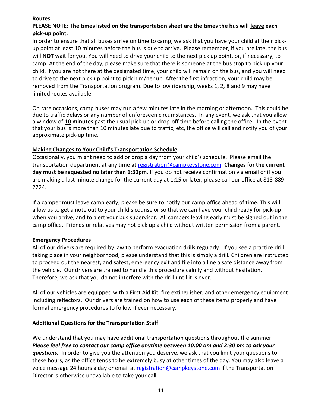## **Routes**

.

## **PLEASE NOTE: The times listed on the transportation sheet are the times the bus will leave each pick-up point.**

In order to ensure that all buses arrive on time to camp, we ask that you have your child at their pickup point at least 10 minutes before the bus is due to arrive. Please remember, if you are late, the bus will **NOT** wait for you. You will need to drive your child to the next pick up point, or, if necessary, to camp. At the end of the day, please make sure that there is someone at the bus stop to pick up your child. If you are not there at the designated time, your child will remain on the bus, and you will need to drive to the next pick up point to pick him/her up. After the first infraction, your child may be removed from the Transportation program. Due to low ridership, weeks 1, 2, 8 and 9 may have limited routes available.

On rare occasions, camp buses may run a few minutes late in the morning or afternoon. This could be due to traffic delays or any number of unforeseen circumstances**.** In any event, we ask that you allow a window of **10 minutes** past the usual pick-up or drop-off time before calling the office. In the event that your bus is more than 10 minutes late due to traffic, etc, the office will call and notify you of your approximate pick-up time.

## **Making Changes to Your Child's Transportation Schedule**

Occasionally, you might need to add or drop a day from your child's schedule. Please email the transportation department at any time at [registration@campkeystone.com.](mailto:registration@campkeystone.com) **Changes for the current day must be requested no later than 1:30pm**. If you do not receive confirmation via email or if you are making a last minute change for the current day at 1:15 or later, please call our office at 818-889- 2224.

If a camper must leave camp early, please be sure to notify our camp office ahead of time. This will allow us to get a note out to your child's counselor so that we can have your child ready for pick-up when you arrive, and to alert your bus supervisor. All campers leaving early must be signed out in the camp office. Friends or relatives may not pick up a child without written permission from a parent.

## **Emergency Procedures**

All of our drivers are required by law to perform evacuation drills regularly. If you see a practice drill taking place in your neighborhood, please understand that this is simply a drill. Children are instructed to proceed out the nearest, and safest, emergency exit and file into a line a safe distance away from the vehicle. Our drivers are trained to handle this procedure calmly and without hesitation. Therefore, we ask that you do not interfere with the drill until it is over.

All of our vehicles are equipped with a First Aid Kit, fire extinguisher, and other emergency equipment including reflectors. Our drivers are trained on how to use each of these items properly and have formal emergency procedures to follow if ever necessary.

## **Additional Questions for the Transportation Staff**

We understand that you may have additional transportation questions throughout the summer. *Please feel free to contact our camp office anytime between 10:00 am and 2:30 pm to ask your questions.* In order to give you the attention you deserve, we ask that you limit your questions to these hours, as the office tends to be extremely busy at other times of the day. You may also leave a voice message 24 hours a day or email at [registration@campkeystone.com](mailto:registration@campkeystone.com) if the Transportation Director is otherwise unavailable to take your call.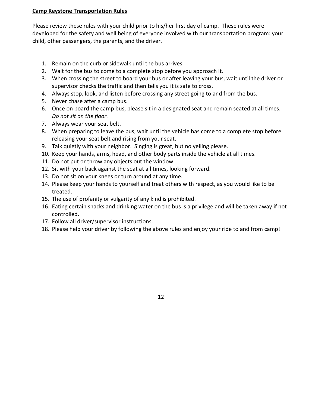## **Camp Keystone Transportation Rules**

Please review these rules with your child prior to his/her first day of camp. These rules were developed for the safety and well being of everyone involved with our transportation program: your child, other passengers, the parents, and the driver.

- 1. Remain on the curb or sidewalk until the bus arrives.
- 2. Wait for the bus to come to a complete stop before you approach it.
- 3. When crossing the street to board your bus or after leaving your bus, wait until the driver or supervisor checks the traffic and then tells you it is safe to cross.
- 4. Always stop, look, and listen before crossing any street going to and from the bus.
- 5. Never chase after a camp bus.
- 6. Once on board the camp bus, please sit in a designated seat and remain seated at all times. *Do not sit on the floor.*
- 7. Always wear your seat belt.
- 8. When preparing to leave the bus, wait until the vehicle has come to a complete stop before releasing your seat belt and rising from your seat.
- 9. Talk quietly with your neighbor. Singing is great, but no yelling please.
- 10. Keep your hands, arms, head, and other body parts inside the vehicle at all times.
- 11. Do not put or throw any objects out the window.
- 12. Sit with your back against the seat at all times, looking forward.
- 13. Do not sit on your knees or turn around at any time.
- 14. Please keep your hands to yourself and treat others with respect, as you would like to be treated.
- 15. The use of profanity or vulgarity of any kind is prohibited.
- 16. Eating certain snacks and drinking water on the bus is a privilege and will be taken away if not controlled.
- 17. Follow all driver/supervisor instructions.
- 18. Please help your driver by following the above rules and enjoy your ride to and from camp!

12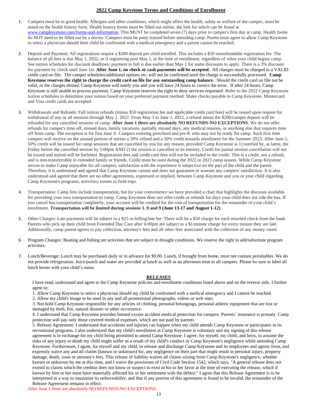#### **2022 Camp Keystone Terms and Conditions of Enrollment**

- 1. Campers must be in good health: Allergies and other conditions, which might affect the health, safety or welfare of the camper, must be noted on the health history form. Health history forms must be filled out online, the link for which can be found at [www.campkeystone.com/forms-and-information.](http://www.campkeystone.com/forms-and-information) This MUST be completed seven (7) days prior to camper's first day at camp. Health forms do NOT need to be filled out by a doctor. Campers must be potty trained before attending camp. Parent must agree to allow Camp Keystone to select a physician should their child be confronted with a medical emergency and a parent cannot be reached.
- 2. Deposit and Payment: All registrations require a \$200 deposit per child enrolled. This includes a \$50 nonrefundable registration fee. The balance of all fees is due May 1, 2022, or if registering post May 1, at the time of enrollment, regardless of when your child begins camp. See tuition schedules for discount deadlines; payment in full is due earlier than May 1 for some discounts to apply. There is a 3% discount for payment by check until June 1st. **After June 1, no check or cash payments will be accepted**. All charges must be charged to a VALID credit card on file. The camper schedules/additional options etc. will not be confirmed until the charge is successfully processed. **Camp Keystone reserves the right to charge the credit card on file for any outstanding camp balance**. Should the credit card on file not be valid, or the charges denied, Camp Keystone will notify you and you will have 24 hours to correct the error. If after 24 hours, Camp Keystone is still unable to process payment, Camp Keystone reserves the right to deny services requested. Refer to the 2022 Camp Keystone tuition schedules to determine your tuition based on your preferred payment method. Make checks payable to Camp Keystone. Mastercard and Visa credit cards are accepted.
- 3. Withdrawals and Refunds: Full tuition refunds (minus \$50 registration fee and applicable credit card fees) will be issued upon request for withdrawal of any or all sessions through May 2, 2022. From May 3 to June 1, 2022, a refund minus the \$200/camper deposit will be refunded for any cancelled sessions of camp. **After June 1 there are absolutely NO REFUNDS-NO EXCEPTIONS**. We do not offer refunds for camper's time off, missed days, family vacations, partially missed days, any medical reasons, or anything else that requires time off from camp. The exception is for first time Jr. Campers entering preschool and pre-K who may not be ready for camp. Such first time campers will receive on the unused portion of tuition a 50% refund and a 50% credit towards enrollment for the Summer 2023. After June 1, 50% credit will be issued for camp sessions that are cancelled by you for any reason, provided Camp Keystone is 1) notified by, at latest, the Friday before the cancelled session by 5:00pm AND 2) the session is cancelled in its entirety. Credit for partial session cancellation will not be issued and tuition will be forfeited. Registration fees and credit card fees will not be included in the credit. This is a credit, not a refund, and is non-transferrable to extended family or friends. Credit must be used during the 2022 or 2023 camp season. While Camp Keystone strives to make Camp enjoyable for all campers, satisfaction with the experience is subjective on the part of the child and the parent. Therefore, it is understood and agreed that Camp Keystone cannot and does not guarantee or warrant any campers' satisfaction. It is also understood and agreed that there are no other agreements, expressed or implied, between Camp Keystone and you or your child regarding Camp Keystone's programs, activities, events or field trips.
- 4. Transportation: Camp fees include transportation, but for your convenience we have provided a chart that highlights the discount available for providing your own transportation to camp. Camp Keystone does not offer credit or refunds for days your child does not ride the bus. If you cancel bus transportation completely, your account will be credited for the cost of transportation for the remainder of your child's enrollment. **Transportation will be limited during sessions 1. 8 and 9 (June 13-17 and August 1-12).**
- 5. Other Charges: Late payments will be subject to a \$25 re-billing/late fee. There will be a \$50 charge for each returned check from the bank. Parents who pick up their child from Extended Day Care after 6:00pm are subject to a \$1/minute charge for every minute they are late. Additionally, camp parent agrees to pay collection, attorney's fees and all other fees associated with the collection of any money owed.
- 6. Program Changes: Boating and fishing are activities that are subject to drought conditions. We reserve the right to add/substitute program activities.
- 7. Lunch/Beverage: Lunch may be purchased daily or in advance for \$9.00. Lunch, if brought from home, must not contain perishables. We do not provide refrigeration. Juice/punch and water are provided at lunch as well as an afternoon treat to all campers. Please be sure to label all lunch boxes with your child's name.

#### **RELEASES**

I have read, understand and agree to the Camp Keystone policies and enrollment conditions listed above and on the reverse side. I further agree to:

1. Allow Camp Keystone to select a physician should my child be confronted with a medical emergency and I cannot be reached.

2. Allow my child's image to be used in any and all promotional photographs, videos or web sites.

3. Not hold Camp Keystone responsible for any articles of clothing, personal belongings, personal athletic equipment that are lost or damaged by theft, fire, natural disaster or other occurrence.

4. I understand that Camp Keystone provides limited excess accident medical protection for campers. Parents' insurance is primary. Camp protection will pay only those covered medical expenses, which are not paid by parents.

5. Release Agreement: I understand that accidents and injuries can happen when my child attends Camp Keystone or participates in its recreational programs. I also understand that my child's enrollment at Camp Keystone is voluntary and my signing of this release agreement is in exchange for my child being permitted to attend Camp Keystone. I agree, for myself, my child, and heirs, to assume the risks of any injury or death my child might suffer as a result of my child's conduct or Camp Keystone's negligence while attending Camp Keystone. Furthermore, I agree, for myself and my child, to release and discharge Camp Keystone and its employees and agents from, and expressly waive any and all claims (known or unknown) for, any negligence on their part that might result in personal injury, property damage, death, costs or attorney's fees. This release of liability waives all claims arising from Camp Keystone's negligence, whether known or unknown by me at this time, and I waive the provisions of Civil Code Section 1542, which says, "A general release does not extend to claims which the creditor does not know or suspect to exist in his or her favor at the time of executing the release, which if known by him or her must have materially affected his or her settlement with the debtor." I agree that this Release Agreement is to be interpreted in a way to maximize its enforceability, and that if any portion of this agreement is found to be invalid, the remainder of the Release Agreement remains in effect.

After June 1 there are absolutely NO REFUNDS-NO EXCEPTIONS.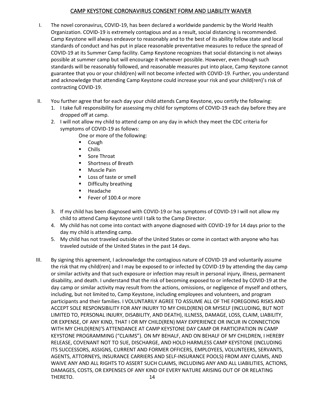## CAMP KEYSTONE CORONAVIRUS CONSENT FORM AND LIABILITY WAIVER

- I. The novel coronavirus, COVID-19, has been declared a worldwide pandemic by the World Health Organization. COVID-19 is extremely contagious and as a result, social distancing is recommended. Camp Keystone will always endeavor to reasonably and to the best of its ability follow state and local standards of conduct and has put in place reasonable preventative measures to reduce the spread of COVID-19 at its Summer Camp facility. Camp Keystone recognizes that social distancing is not always possible at summer camp but will encourage it whenever possible. However, even though such standards will be reasonably followed, and reasonable measures put into place, Camp Keystone cannot guarantee that you or your child(ren) will not become infected with COVID-19. Further, you understand and acknowledge that attending Camp Keystone could increase your risk and your child(ren)'s risk of contracting COVID-19.
- II. You further agree that for each day your child attends Camp Keystone, you certify the following:
	- 1. I take full responsibility for assessing my child for symptoms of COVID-19 each day before they are dropped off at camp.
	- 2. I will not allow my child to attend camp on any day in which they meet the CDC criteria for symptoms of COVID-19 as follows:

One or more of the following:

- Cough
- Chills
- Sore Throat
- Shortness of Breath
- **Muscle Pain**
- Loss of taste or smell
- Difficulty breathing
- Headache
- Fever of 100.4 or more
- 3. If my child has been diagnosed with COVID-19 or has symptoms of COVID-19 I will not allow my child to attend Camp Keystone until I talk to the Camp Director.
- 4. My child has not come into contact with anyone diagnosed with COVID-19 for 14 days prior to the day my child is attending camp.
- 5. My child has not traveled outside of the United States or come in contact with anyone who has traveled outside of the United States in the past 14 days.
- III. By signing this agreement, I acknowledge the contagious nature of COVID-19 and voluntarily assume the risk that my child(ren) and I may be exposed to or infected by COVID-19 by attending the day camp or similar activity and that such exposure or infection may result in personal injury, illness, permanent disability, and death. I understand that the risk of becoming exposed to or infected by COVID-19 at the day camp or similar activity may result from the actions, omissions, or negligence of myself and others, including, but not limited to, Camp Keystone, including employees and volunteers, and program participants and their families. I VOLUNTARILY AGREE TO ASSUME ALL OF THE FOREGOING RISKS AND ACCEPT SOLE RESPONSIBILITY FOR ANY INJURY TO MY CHILD(REN) OR MYSELF (INCLUDING, BUT NOT LIMITED TO, PERSONAL INJURY, DISABILITY, AND DEATH), ILLNESS, DAMAGE, LOSS, CLAIM, LIABILITY, OR EXPENSE, OF ANY KIND, THAT I OR MY CHILD(REN) MAY EXPERIENCE OR INCUR IN CONNECTION WITH MY CHILD(REN)'S ATTENDANCE AT CAMP KEYSTONE DAY CAMP OR PARTICIPATION IN CAMP KEYSTONE PROGRAMMING ("CLAIMS"). ON MY BEHALF, AND ON BEHALF OF MY CHILDREN, I HEREBY RELEASE, COVENANT NOT TO SUE, DISCHARGE, AND HOLD HARMLESS CAMP KEYSTONE (INCLUDING ITS SUCCESSORS, ASSIGNS, CURRENT AND FORMER OFFICERS, EMPLOYEES, VOLUNTEERS, SERVANTS, AGENTS, ATTORNEYS, INSURANCE CARRIERS AND SELF-INSURANCE POOLS) FROM ANY CLAIMS, AND WAIVE ANY AND ALL RIGHTS TO ASSERT SUCH CLAIMS, INCLUDING ANY AND ALL LIABILITIES, ACTIONS, DAMAGES, COSTS, OR EXPENSES OF ANY KIND OF EVERY NATURE ARISING OUT OF OR RELATING THERETO. 14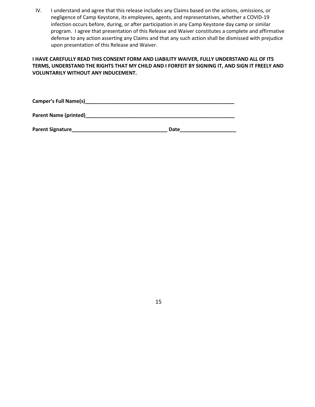IV. I understand and agree that this release includes any Claims based on the actions, omissions, or negligence of Camp Keystone, its employees, agents, and representatives, whether a COVID-19 infection occurs before, during, or after participation in any Camp Keystone day camp or similar program. I agree that presentation of this Release and Waiver constitutes a complete and affirmative defense to any action asserting any Claims and that any such action shall be dismissed with prejudice upon presentation of this Release and Waiver.

#### **I HAVE CAREFULLY READ THIS CONSENT FORM AND LIABILITY WAIVER, FULLY UNDERSTAND ALL OF ITS TERMS, UNDERSTAND THE RIGHTS THAT MY CHILD AND I FORFEIT BY SIGNING IT, AND SIGN IT FREELY AND VOLUNTARILY WITHOUT ANY INDUCEMENT.**

**Camper's Full Name(s)\_\_\_\_\_\_\_\_\_\_\_\_\_\_\_\_\_\_\_\_\_\_\_\_\_\_\_\_\_\_\_\_\_\_\_\_\_\_\_\_\_\_\_\_\_\_\_\_\_\_\_\_\_**

**Parent Name (printed)\_\_\_\_\_\_\_\_\_\_\_\_\_\_\_\_\_\_\_\_\_\_\_\_\_\_\_\_\_\_\_\_\_\_\_\_\_\_\_\_\_\_\_\_\_\_\_\_\_\_\_\_\_**

| <b>Parent Signature</b> | Date |
|-------------------------|------|
|-------------------------|------|

15